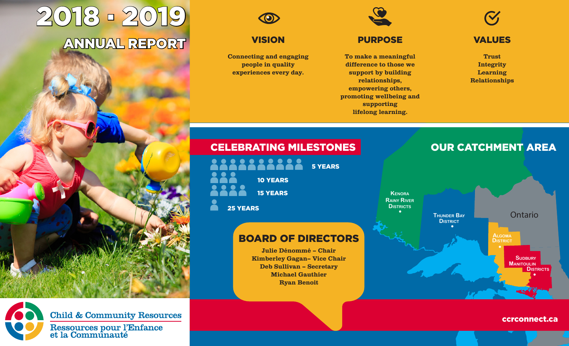# 2018 . 2019 ANNUAL REPORT



**VISION** 

Connecting and engaging people in quality experiences every day.

To make a meaningful difference to those we support by building relationships, empowering others,

promoting wellbeing and supporting lifelong learning.

PURPOSE

VALUES

Trust Integrity Learning Relationships

# CELEBRATING MILESTONES **OUR CATCHMENT AREA**

| $\bullet$<br><b>COLL</b><br>$\blacksquare$ | $\bullet$       | <b>5 YEARS</b> |
|--------------------------------------------|-----------------|----------------|
|                                            | <b>10 YEARS</b> |                |
|                                            | <b>15 YEARS</b> |                |
| <b>25 YEARS</b>                            |                 |                |

# BOARD OF DIRECTORS

Julie Dénommé – Chair Kimberley Gagan– Vice Chair Deb Sullivan – Secretary Michael Gauthier Ryan Benoit



ccrconnect.ca



**Child & Community Resources** Ressources pour l'Enfance<br>et la Communauté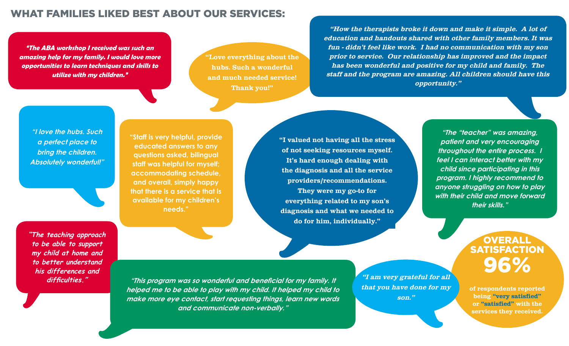## WHAT FAMILIES LIKED BEST ABOUT OUR SERVICES:

**"The ABA workshop I received was such an amazing help for my family. I would love more opportunities to learn techniques and skills to utilize with my children."**

"Love everything about the hubs. Such a wonderful and much needed service! Thank you!"

"How the therapists broke it down and make it simple. A lot of education and handouts shared with other family members. It was fun - didn't feel like work. I had no communication with my son prior to service. Our relationship has improved and the impact has been wonderful and positive for my child and family. The staff and the program are amazing. All children should have this opportunity."

**"I love the hubs. Such a perfect place to bring the children. Absolutely wonderful!"**

**"The teaching approach to be able to support my child at home and to better understand his differences and difficulties."**

**"Staff is very helpful, provide educated answers to any questions asked, bilingual staff was helpful for myself; accommodating schedule, and overall, simply happy that there is a service that is available for my children's needs."**

"I valued not having all the stress of not seeking resources myself. It's hard enough dealing with the diagnosis and all the service providers/recommendations.

They were my go-to for everything related to my son's diagnosis and what we needed to do for him, individually."

**"The "teacher" was amazing, patient and very encouraging throughout the entire process. I feel I can interact better with my child since participating in this program. I highly recommend to anyone struggling on how to play with their child and move forward their skills."**

> **OVERALI SATISFACTION** 96%

of respondents reported being "very satisfied" or "satisfied" with the services they received.

**"This program was so wonderful and beneficial for my family. It helped me to be able to play with my child. It helped my child to make more eye contact, start requesting things, learn new words and communicate non-verbally."**

"I am very grateful for all that you have done for my son."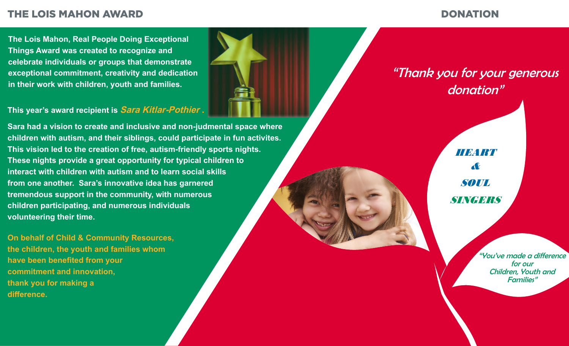# THE LOIS MAHON AWARD DONATION

**The Lois Mahon, Real People Doing Exceptional Things Award was created to recognize and celebrate individuals or groups that demonstrate exceptional commitment, creativity and dedication in their work with children, youth and families.**

## **This year's award recipient is Sara Kitlar-Pothier .**

**Sara had a vision to create and inclusive and non-judmental space where children with autism, and their siblings, could participate in fun activites. This vision led to the creation of free, autism-friendly sports nights. These nights provide a great opportunity for typical children to interact with children with autism and to learn social skills from one another. Sara's innovative idea has garnered tremendous support in the community, with numerous children participating, and numerous individuals volunteering their time.**

**On behalf of Child & Community Resources, the children, the youth and families whom have been benefited from your commitment and innovation, thank you for making a difference.**



# "Thank you for your generous donation"

FOR HEART YOUR SOUL **SINGERIS** &

> "You've made a difference for our Children, Youth and Families"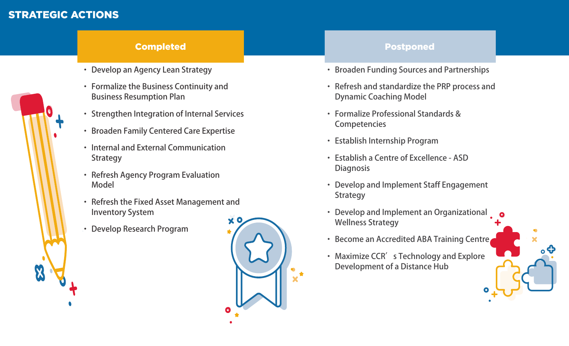# STRATEGIC ACTIONS

# X

## **Completed Completed Complete** Postponed

- Develop an Agency Lean Strategy
- • Formalize the Business Continuity and Business Resumption Plan
- Strengthen Integration of Internal Services
- • Broaden Family Centered Care Expertise
- Internal and External Communication **Strategy**
- Refresh Agency Program Evaluation Model
- • Refresh the Fixed Asset Management and Inventory System
- • Develop Research Program



- • Broaden Funding Sources and Partnerships
- • Refresh and standardize the PRP process and Dynamic Coaching Model
- • Formalize Professional Standards & **Competencies**
- • Establish Internship Program
- • Establish a Centre of Excellence ASD **Diagnosis**
- • Develop and Implement Staff Engagement **Strategy**
- • Develop and Implement an Organizational Wellness Strategy
- Become an Accredited ABA Training Centre
- Maximize CCR's Technology and Explore Development of a Distance Hub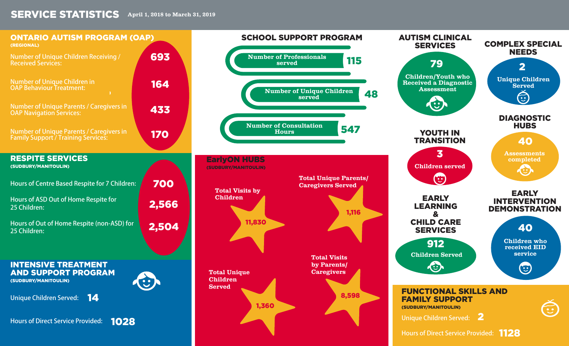